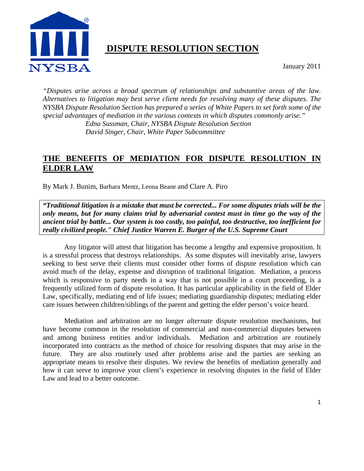

# **DISPUTE RESOLUTION SECTION**

January 2011

*"Disputes arise across a broad spectrum of relationships and substantive areas of the law. Alternatives to litigation may best serve client needs for resolving many of these disputes. The NYSBA Dispute Resolution Section has prepared a series of White Papers to set forth some of the special advantages of mediation in the various contexts in which disputes commonly arise." Edna Sussman, Chair, NYSBA Dispute Resolution Section David Singer, Chair, White Paper Subcommittee* 

# **THE BENEFITS OF MEDIATION FOR DISPUTE RESOLUTION IN ELDER LAW**

By Mark J. Bunim, Barbara Mentz, Leona Beane and Clare A. Piro

*"Traditional litigation is a mistake that must be corrected... For some disputes trials will be the only means, but for many claims trial by adversarial contest must in time go the way of the ancient trial by battle... Our system is too costly, too painful, too destructive, too inefficient for really civilized people." Chief Justice Warren E. Burger of the U.S. Supreme Court* 

Any litigator will attest that litigation has become a lengthy and expensive proposition. It is a stressful process that destroys relationships. As some disputes will inevitably arise, lawyers seeking to best serve their clients must consider other forms of dispute resolution which can avoid much of the delay, expense and disruption of traditional litigation. Mediation, a process which is responsive to party needs in a way that is not possible in a court proceeding, is a frequently utilized form of dispute resolution. It has particular applicability in the field of Elder Law, specifically, mediating end of life issues; mediating guardianship disputes; mediating elder care issues between children/siblings of the parent and getting the elder person's voice heard.

Mediation and arbitration are no longer *alternate* dispute resolution mechanisms, but have become common in the resolution of commercial and non-commercial disputes between and among business entities and/or individuals. Mediation and arbitration are routinely incorporated into contracts as the method of choice for resolving disputes that may arise in the future. They are also routinely used after problems arise and the parties are seeking an appropriate means to resolve their disputes. We review the benefits of mediation generally and how it can serve to improve your client's experience in resolving disputes in the field of Elder Law and lead to a better outcome.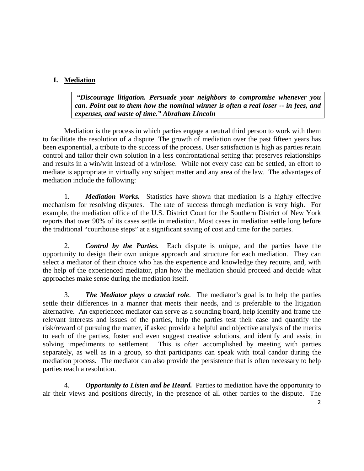# **I. Mediation**

 *"Discourage litigation. Persuade your neighbors to compromise whenever you can. Point out to them how the nominal winner is often a real loser -- in fees, and expenses, and waste of time." Abraham Lincoln* 

 Mediation is the process in which parties engage a neutral third person to work with them to facilitate the resolution of a dispute. The growth of mediation over the past fifteen years has been exponential, a tribute to the success of the process. User satisfaction is high as parties retain control and tailor their own solution in a less confrontational setting that preserves relationships and results in a win/win instead of a win/lose. While not every case can be settled, an effort to mediate is appropriate in virtually any subject matter and any area of the law. The advantages of mediation include the following:

1. *Mediation Works.* Statistics have shown that mediation is a highly effective mechanism for resolving disputes. The rate of success through mediation is very high. For example, the mediation office of the U.S. District Court for the Southern District of New York reports that over 90% of its cases settle in mediation. Most cases in mediation settle long before the traditional "courthouse steps" at a significant saving of cost and time for the parties.

2. *Control by the Parties.* Each dispute is unique, and the parties have the opportunity to design their own unique approach and structure for each mediation. They can select a mediator of their choice who has the experience and knowledge they require, and, with the help of the experienced mediator, plan how the mediation should proceed and decide what approaches make sense during the mediation itself.

3. *The Mediator plays a crucial role*. The mediator's goal is to help the parties settle their differences in a manner that meets their needs, and is preferable to the litigation alternative. An experienced mediator can serve as a sounding board, help identify and frame the relevant interests and issues of the parties, help the parties test their case and quantify the risk/reward of pursuing the matter, if asked provide a helpful and objective analysis of the merits to each of the parties, foster and even suggest creative solutions, and identify and assist in solving impediments to settlement. This is often accomplished by meeting with parties separately, as well as in a group, so that participants can speak with total candor during the mediation process. The mediator can also provide the persistence that is often necessary to help parties reach a resolution.

4. *Opportunity to Listen and be Heard.* Parties to mediation have the opportunity to air their views and positions directly, in the presence of all other parties to the dispute. The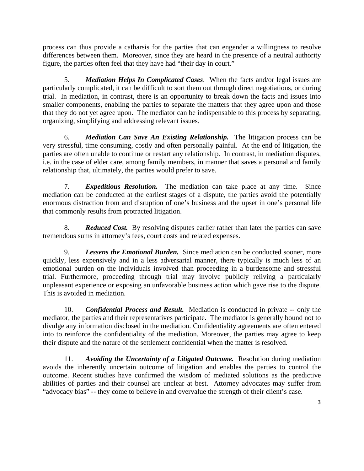process can thus provide a catharsis for the parties that can engender a willingness to resolve differences between them. Moreover, since they are heard in the presence of a neutral authority figure, the parties often feel that they have had "their day in court."

5. *Mediation Helps In Complicated Cases*. When the facts and/or legal issues are particularly complicated, it can be difficult to sort them out through direct negotiations, or during trial. In mediation, in contrast, there is an opportunity to break down the facts and issues into smaller components, enabling the parties to separate the matters that they agree upon and those that they do not yet agree upon. The mediator can be indispensable to this process by separating, organizing, simplifying and addressing relevant issues.

6. *Mediation Can Save An Existing Relationship.* The litigation process can be very stressful, time consuming, costly and often personally painful. At the end of litigation, the parties are often unable to continue or restart any relationship. In contrast, in mediation disputes, i.e. in the case of elder care, among family members, in manner that saves a personal and family relationship that, ultimately, the parties would prefer to save.

7. *Expeditious Resolution.* The mediation can take place at any time. Since mediation can be conducted at the earliest stages of a dispute, the parties avoid the potentially enormous distraction from and disruption of one's business and the upset in one's personal life that commonly results from protracted litigation.

8. *Reduced Cost.* By resolving disputes earlier rather than later the parties can save tremendous sums in attorney's fees, court costs and related expenses.

9. *Lessens the Emotional Burden.* Since mediation can be conducted sooner, more quickly, less expensively and in a less adversarial manner, there typically is much less of an emotional burden on the individuals involved than proceeding in a burdensome and stressful trial. Furthermore, proceeding through trial may involve publicly reliving a particularly unpleasant experience or exposing an unfavorable business action which gave rise to the dispute. This is avoided in mediation.

10. *Confidential Process and Result.* Mediation is conducted in private -- only the mediator, the parties and their representatives participate. The mediator is generally bound not to divulge any information disclosed in the mediation. Confidentiality agreements are often entered into to reinforce the confidentiality of the mediation. Moreover, the parties may agree to keep their dispute and the nature of the settlement confidential when the matter is resolved.

11. *Avoiding the Uncertainty of a Litigated Outcome.* Resolution during mediation avoids the inherently uncertain outcome of litigation and enables the parties to control the outcome. Recent studies have confirmed the wisdom of mediated solutions as the predictive abilities of parties and their counsel are unclear at best. Attorney advocates may suffer from "advocacy bias" -- they come to believe in and overvalue the strength of their client's case.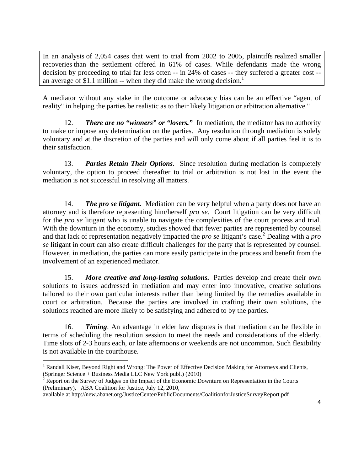In an analysis of 2,054 cases that went to trial from 2002 to 2005, plaintiffs realized smaller recoveries than the settlement offered in 61% of cases. While defendants made the wrong decision by proceeding to trial far less often -- in 24% of cases -- they suffered a greater cost - an average of \$1.1 million -- when they did make the wrong decision.<sup>1</sup>

A mediator without any stake in the outcome or advocacy bias can be an effective "agent of reality" in helping the parties be realistic as to their likely litigation or arbitration alternative."

12. *There are no "winners" or "losers."* In mediation, the mediator has no authority to make or impose any determination on the parties. Any resolution through mediation is solely voluntary and at the discretion of the parties and will only come about if all parties feel it is to their satisfaction.

13. *Parties Retain Their Options*. Since resolution during mediation is completely voluntary, the option to proceed thereafter to trial or arbitration is not lost in the event the mediation is not successful in resolving all matters.

14. *The pro se litigant.* Mediation can be very helpful when a party does not have an attorney and is therefore representing him/herself *pro se*. Court litigation can be very difficult for the *pro se* litigant who is unable to navigate the complexities of the court process and trial. With the downturn in the economy, studies showed that fewer parties are represented by counsel and that lack of representation negatively impacted the *pro se* litigant's case.<sup>2</sup> Dealing with a *pro se* litigant in court can also create difficult challenges for the party that is represented by counsel. However, in mediation, the parties can more easily participate in the process and benefit from the involvement of an experienced mediator.

15. *More creative and long-lasting solutions.* Parties develop and create their own solutions to issues addressed in mediation and may enter into innovative, creative solutions tailored to their own particular interests rather than being limited by the remedies available in court or arbitration. Because the parties are involved in crafting their own solutions, the solutions reached are more likely to be satisfying and adhered to by the parties.

16. *Timing*. An advantage in elder law disputes is that mediation can be flexible in terms of scheduling the resolution session to meet the needs and considerations of the elderly. Time slots of 2-3 hours each, or late afternoons or weekends are not uncommon. Such flexibility is not available in the courthouse.

<sup>&</sup>lt;sup>1</sup> Randall Kiser, Beyond Right and Wrong: The Power of Effective Decision Making for Attorneys and Clients, (Springer Science + Business Media LLC New York publ.) (2010)<br><sup>2</sup> Report on the Survey of Judges on the Impact of the Economic Downturn on Representation in the Courts

<sup>(</sup>Preliminary), ABA Coalition for Justice, July 12, 2010,

available at http://new.abanet.org/JusticeCenter/PublicDocuments/CoalitionforJusticeSurveyReport.pdf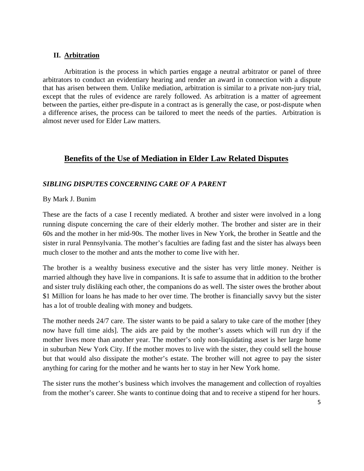### **II. Arbitration**

Arbitration is the process in which parties engage a neutral arbitrator or panel of three arbitrators to conduct an evidentiary hearing and render an award in connection with a dispute that has arisen between them. Unlike mediation, arbitration is similar to a private non-jury trial, except that the rules of evidence are rarely followed. As arbitration is a matter of agreement between the parties, either pre-dispute in a contract as is generally the case, or post-dispute when a difference arises, the process can be tailored to meet the needs of the parties. Arbitration is almost never used for Elder Law matters.

## **Benefits of the Use of Mediation in Elder Law Related Disputes**

### *SIBLING DISPUTES CONCERNING CARE OF A PARENT*

### By Mark J. Bunim

These are the facts of a case I recently mediated. A brother and sister were involved in a long running dispute concerning the care of their elderly mother. The brother and sister are in their 60s and the mother in her mid-90s. The mother lives in New York, the brother in Seattle and the sister in rural Pennsylvania. The mother's faculties are fading fast and the sister has always been much closer to the mother and ants the mother to come live with her.

The brother is a wealthy business executive and the sister has very little money. Neither is married although they have live in companions. It is safe to assume that in addition to the brother and sister truly disliking each other, the companions do as well. The sister owes the brother about \$1 Million for loans he has made to her over time. The brother is financially savvy but the sister has a lot of trouble dealing with money and budgets.

The mother needs 24/7 care. The sister wants to be paid a salary to take care of the mother [they now have full time aids]. The aids are paid by the mother's assets which will run dry if the mother lives more than another year. The mother's only non-liquidating asset is her large home in suburban New York City. If the mother moves to live with the sister, they could sell the house but that would also dissipate the mother's estate. The brother will not agree to pay the sister anything for caring for the mother and he wants her to stay in her New York home.

The sister runs the mother's business which involves the management and collection of royalties from the mother's career. She wants to continue doing that and to receive a stipend for her hours.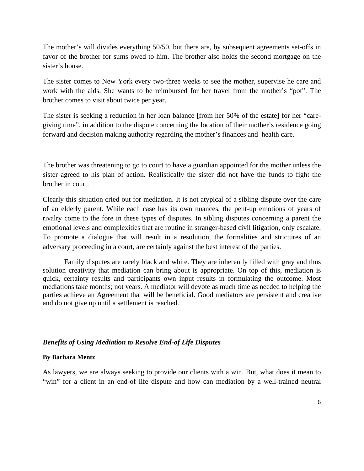The mother's will divides everything 50/50, but there are, by subsequent agreements set-offs in favor of the brother for sums owed to him. The brother also holds the second mortgage on the sister's house.

The sister comes to New York every two-three weeks to see the mother, supervise he care and work with the aids. She wants to be reimbursed for her travel from the mother's "pot". The brother comes to visit about twice per year.

The sister is seeking a reduction in her loan balance [from her 50% of the estate] for her "caregiving time", in addition to the dispute concerning the location of their mother's residence going forward and decision making authority regarding the mother's finances and health care.

The brother was threatening to go to court to have a guardian appointed for the mother unless the sister agreed to his plan of action. Realistically the sister did not have the funds to fight the brother in court.

Clearly this situation cried out for mediation. It is not atypical of a sibling dispute over the care of an elderly parent. While each case has its own nuances, the pent-up emotions of years of rivalry come to the fore in these types of disputes. In sibling disputes concerning a parent the emotional levels and complexities that are routine in stranger-based civil litigation, only escalate. To promote a dialogue that will result in a resolution, the formalities and strictures of an adversary proceeding in a court, are certainly against the best interest of the parties.

Family disputes are rarely black and white. They are inherently filled with gray and thus solution creativity that mediation can bring about is appropriate. On top of this, mediation is quick, certainty results and participants own input results in formulating the outcome. Most mediations take months; not years. A mediator will devote as much time as needed to helping the parties achieve an Agreement that will be beneficial. Good mediators are persistent and creative and do not give up until a settlement is reached.

#### *Benefits of Using Mediation to Resolve End-of Life Disputes*

#### **By Barbara Mentz**

As lawyers, we are always seeking to provide our clients with a win. But, what does it mean to "win" for a client in an end-of life dispute and how can mediation by a well-trained neutral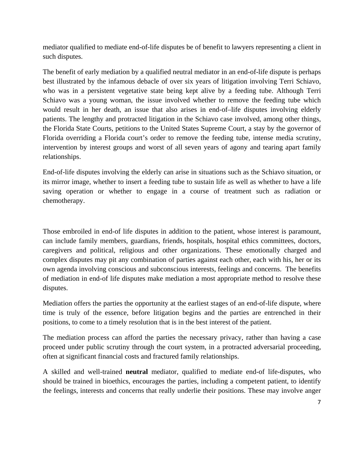mediator qualified to mediate end-of-life disputes be of benefit to lawyers representing a client in such disputes.

The benefit of early mediation by a qualified neutral mediator in an end-of-life dispute is perhaps best illustrated by the infamous debacle of over six years of litigation involving Terri Schiavo, who was in a persistent vegetative state being kept alive by a feeding tube. Although Terri Schiavo was a young woman, the issue involved whether to remove the feeding tube which would result in her death, an issue that also arises in end-of–life disputes involving elderly patients. The lengthy and protracted litigation in the Schiavo case involved, among other things, the Florida State Courts, petitions to the United States Supreme Court, a stay by the governor of Florida overriding a Florida court's order to remove the feeding tube, intense media scrutiny, intervention by interest groups and worst of all seven years of agony and tearing apart family relationships.

End-of-life disputes involving the elderly can arise in situations such as the Schiavo situation, or its mirror image, whether to insert a feeding tube to sustain life as well as whether to have a life saving operation or whether to engage in a course of treatment such as radiation or chemotherapy.

Those embroiled in end-of life disputes in addition to the patient, whose interest is paramount, can include family members, guardians, friends, hospitals, hospital ethics committees, doctors, caregivers and political, religious and other organizations. These emotionally charged and complex disputes may pit any combination of parties against each other, each with his, her or its own agenda involving conscious and subconscious interests, feelings and concerns. The benefits of mediation in end-of life disputes make mediation a most appropriate method to resolve these disputes.

Mediation offers the parties the opportunity at the earliest stages of an end-of-life dispute, where time is truly of the essence, before litigation begins and the parties are entrenched in their positions, to come to a timely resolution that is in the best interest of the patient.

The mediation process can afford the parties the necessary privacy, rather than having a case proceed under public scrutiny through the court system, in a protracted adversarial proceeding, often at significant financial costs and fractured family relationships.

A skilled and well-trained **neutral** mediator, qualified to mediate end-of life-disputes, who should be trained in bioethics, encourages the parties, including a competent patient, to identify the feelings, interests and concerns that really underlie their positions. These may involve anger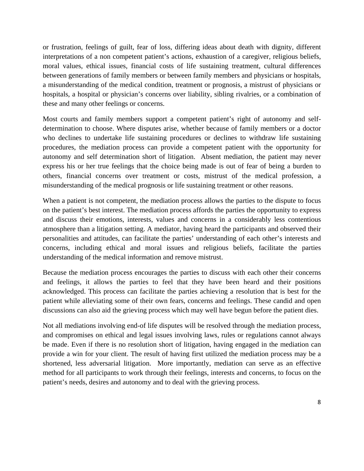or frustration, feelings of guilt, fear of loss, differing ideas about death with dignity, different interpretations of a non competent patient's actions, exhaustion of a caregiver, religious beliefs, moral values, ethical issues, financial costs of life sustaining treatment, cultural differences between generations of family members or between family members and physicians or hospitals, a misunderstanding of the medical condition, treatment or prognosis, a mistrust of physicians or hospitals, a hospital or physician's concerns over liability, sibling rivalries, or a combination of these and many other feelings or concerns.

Most courts and family members support a competent patient's right of autonomy and selfdetermination to choose. Where disputes arise, whether because of family members or a doctor who declines to undertake life sustaining procedures or declines to withdraw life sustaining procedures, the mediation process can provide a competent patient with the opportunity for autonomy and self determination short of litigation. Absent mediation, the patient may never express his or her true feelings that the choice being made is out of fear of being a burden to others, financial concerns over treatment or costs, mistrust of the medical profession, a misunderstanding of the medical prognosis or life sustaining treatment or other reasons.

When a patient is not competent, the mediation process allows the parties to the dispute to focus on the patient's best interest. The mediation process affords the parties the opportunity to express and discuss their emotions, interests, values and concerns in a considerably less contentious atmosphere than a litigation setting. A mediator, having heard the participants and observed their personalities and attitudes, can facilitate the parties' understanding of each other's interests and concerns, including ethical and moral issues and religious beliefs, facilitate the parties understanding of the medical information and remove mistrust.

Because the mediation process encourages the parties to discuss with each other their concerns and feelings, it allows the parties to feel that they have been heard and their positions acknowledged. This process can facilitate the parties achieving a resolution that is best for the patient while alleviating some of their own fears, concerns and feelings. These candid and open discussions can also aid the grieving process which may well have begun before the patient dies.

Not all mediations involving end-of life disputes will be resolved through the mediation process, and compromises on ethical and legal issues involving laws, rules or regulations cannot always be made. Even if there is no resolution short of litigation, having engaged in the mediation can provide a win for your client. The result of having first utilized the mediation process may be a shortened, less adversarial litigation. More importantly, mediation can serve as an effective method for all participants to work through their feelings, interests and concerns, to focus on the patient's needs, desires and autonomy and to deal with the grieving process.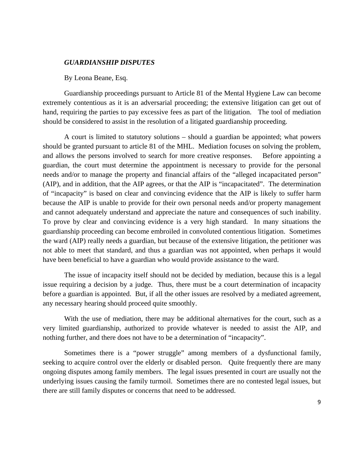#### *GUARDIANSHIP DISPUTES*

#### By Leona Beane, Esq.

 Guardianship proceedings pursuant to Article 81 of the Mental Hygiene Law can become extremely contentious as it is an adversarial proceeding; the extensive litigation can get out of hand, requiring the parties to pay excessive fees as part of the litigation. The tool of mediation should be considered to assist in the resolution of a litigated guardianship proceeding.

A court is limited to statutory solutions – should a guardian be appointed; what powers should be granted pursuant to article 81 of the MHL. Mediation focuses on solving the problem, and allows the persons involved to search for more creative responses. Before appointing a guardian, the court must determine the appointment is necessary to provide for the personal needs and/or to manage the property and financial affairs of the "alleged incapacitated person" (AIP), and in addition, that the AIP agrees, or that the AIP is "incapacitated". The determination of "incapacity" is based on clear and convincing evidence that the AIP is likely to suffer harm because the AIP is unable to provide for their own personal needs and/or property management and cannot adequately understand and appreciate the nature and consequences of such inability. To prove by clear and convincing evidence is a very high standard. In many situations the guardianship proceeding can become embroiled in convoluted contentious litigation. Sometimes the ward (AIP) really needs a guardian, but because of the extensive litigation, the petitioner was not able to meet that standard, and thus a guardian was not appointed, when perhaps it would have been beneficial to have a guardian who would provide assistance to the ward.

The issue of incapacity itself should not be decided by mediation, because this is a legal issue requiring a decision by a judge. Thus, there must be a court determination of incapacity before a guardian is appointed. But, if all the other issues are resolved by a mediated agreement, any necessary hearing should proceed quite smoothly.

With the use of mediation, there may be additional alternatives for the court, such as a very limited guardianship, authorized to provide whatever is needed to assist the AIP, and nothing further, and there does not have to be a determination of "incapacity".

 Sometimes there is a "power struggle" among members of a dysfunctional family, seeking to acquire control over the elderly or disabled person. Quite frequently there are many ongoing disputes among family members. The legal issues presented in court are usually not the underlying issues causing the family turmoil. Sometimes there are no contested legal issues, but there are still family disputes or concerns that need to be addressed.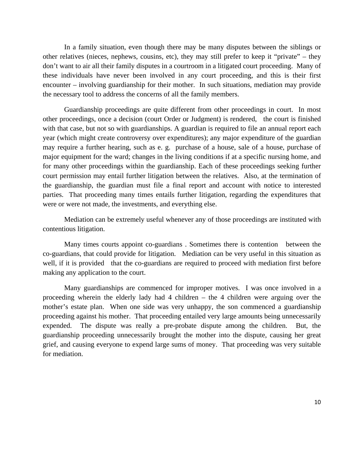In a family situation, even though there may be many disputes between the siblings or other relatives (nieces, nephews, cousins, etc), they may still prefer to keep it "private" – they don't want to air all their family disputes in a courtroom in a litigated court proceeding. Many of these individuals have never been involved in any court proceeding, and this is their first encounter – involving guardianship for their mother. In such situations, mediation may provide the necessary tool to address the concerns of all the family members.

 Guardianship proceedings are quite different from other proceedings in court. In most other proceedings, once a decision (court Order or Judgment) is rendered, the court is finished with that case, but not so with guardianships. A guardian is required to file an annual report each year (which might create controversy over expenditures); any major expenditure of the guardian may require a further hearing, such as e. g. purchase of a house, sale of a house, purchase of major equipment for the ward; changes in the living conditions if at a specific nursing home, and for many other proceedings within the guardianship. Each of these proceedings seeking further court permission may entail further litigation between the relatives. Also, at the termination of the guardianship, the guardian must file a final report and account with notice to interested parties. That proceeding many times entails further litigation, regarding the expenditures that were or were not made, the investments, and everything else.

 Mediation can be extremely useful whenever any of those proceedings are instituted with contentious litigation.

 Many times courts appoint co-guardians . Sometimes there is contention between the co-guardians, that could provide for litigation. Mediation can be very useful in this situation as well, if it is provided that the co-guardians are required to proceed with mediation first before making any application to the court.

 Many guardianships are commenced for improper motives. I was once involved in a proceeding wherein the elderly lady had 4 children – the 4 children were arguing over the mother's estate plan. When one side was very unhappy, the son commenced a guardianship proceeding against his mother. That proceeding entailed very large amounts being unnecessarily expended. The dispute was really a pre-probate dispute among the children. But, the guardianship proceeding unnecessarily brought the mother into the dispute, causing her great grief, and causing everyone to expend large sums of money. That proceeding was very suitable for mediation.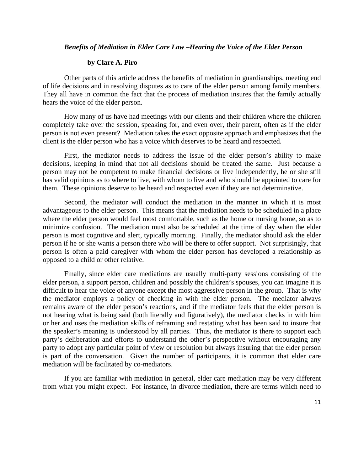#### *Benefits of Mediation in Elder Care Law –Hearing the Voice of the Elder Person*

#### **by Clare A. Piro**

Other parts of this article address the benefits of mediation in guardianships, meeting end of life decisions and in resolving disputes as to care of the elder person among family members. They all have in common the fact that the process of mediation insures that the family actually hears the voice of the elder person.

 How many of us have had meetings with our clients and their children where the children completely take over the session, speaking for, and even over, their parent, often as if the elder person is not even present? Mediation takes the exact opposite approach and emphasizes that the client is the elder person who has a voice which deserves to be heard and respected.

 First, the mediator needs to address the issue of the elder person's ability to make decisions, keeping in mind that not all decisions should be treated the same. Just because a person may not be competent to make financial decisions or live independently, he or she still has valid opinions as to where to live, with whom to live and who should be appointed to care for them. These opinions deserve to be heard and respected even if they are not determinative.

 Second, the mediator will conduct the mediation in the manner in which it is most advantageous to the elder person. This means that the mediation needs to be scheduled in a place where the elder person would feel most comfortable, such as the home or nursing home, so as to minimize confusion. The mediation must also be scheduled at the time of day when the elder person is most cognitive and alert, typically morning. Finally, the mediator should ask the elder person if he or she wants a person there who will be there to offer support. Not surprisingly, that person is often a paid caregiver with whom the elder person has developed a relationship as opposed to a child or other relative.

 Finally, since elder care mediations are usually multi-party sessions consisting of the elder person, a support person, children and possibly the children's spouses, you can imagine it is difficult to hear the voice of anyone except the most aggressive person in the group. That is why the mediator employs a policy of checking in with the elder person. The mediator always remains aware of the elder person's reactions, and if the mediator feels that the elder person is not hearing what is being said (both literally and figuratively), the mediator checks in with him or her and uses the mediation skills of reframing and restating what has been said to insure that the speaker's meaning is understood by all parties. Thus, the mediator is there to support each party's deliberation and efforts to understand the other's perspective without encouraging any party to adopt any particular point of view or resolution but always insuring that the elder person is part of the conversation. Given the number of participants, it is common that elder care mediation will be facilitated by co-mediators.

 If you are familiar with mediation in general, elder care mediation may be very different from what you might expect. For instance, in divorce mediation, there are terms which need to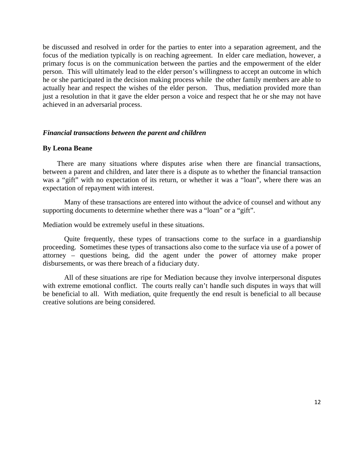be discussed and resolved in order for the parties to enter into a separation agreement, and the focus of the mediation typically is on reaching agreement. In elder care mediation, however, a primary focus is on the communication between the parties and the empowerment of the elder person. This will ultimately lead to the elder person's willingness to accept an outcome in which he or she participated in the decision making process while the other family members are able to actually hear and respect the wishes of the elder person. Thus, mediation provided more than just a resolution in that it gave the elder person a voice and respect that he or she may not have achieved in an adversarial process.

#### *Financial transactions between the parent and children*

#### **By Leona Beane**

 There are many situations where disputes arise when there are financial transactions, between a parent and children, and later there is a dispute as to whether the financial transaction was a "gift" with no expectation of its return, or whether it was a "loan", where there was an expectation of repayment with interest.

 Many of these transactions are entered into without the advice of counsel and without any supporting documents to determine whether there was a "loan" or a "gift".

Mediation would be extremely useful in these situations.

 Quite frequently, these types of transactions come to the surface in a guardianship proceeding. Sometimes these types of transactions also come to the surface via use of a power of attorney – questions being, did the agent under the power of attorney make proper disbursements, or was there breach of a fiduciary duty.

All of these situations are ripe for Mediation because they involve interpersonal disputes with extreme emotional conflict. The courts really can't handle such disputes in ways that will be beneficial to all. With mediation, quite frequently the end result is beneficial to all because creative solutions are being considered.